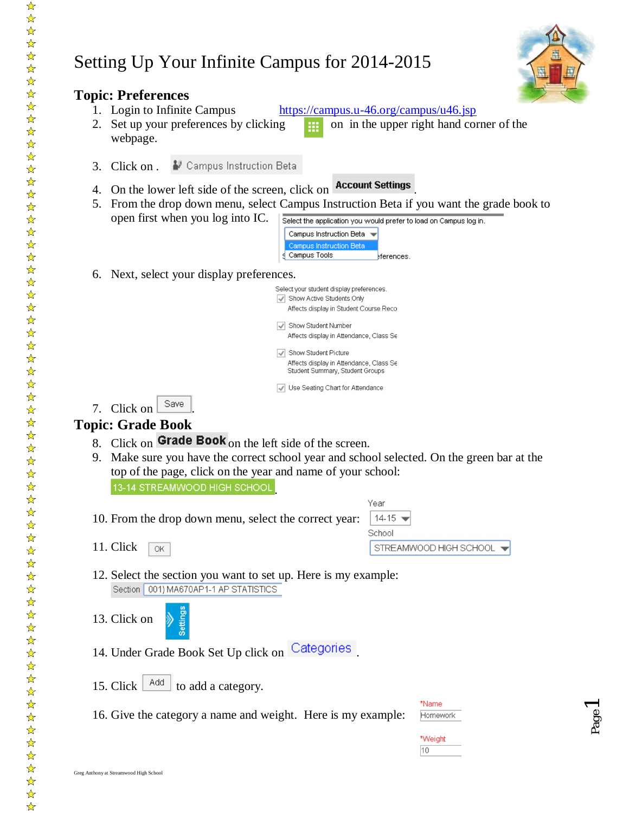# Setting Up Your Infinite Campus for 2014-2015



Page 1

| 2.       | <b>Topic: Preferences</b><br>1. Login to Infinite Campus<br>https://campus.u-46.org/campus/u46.jsp<br>Set up your preferences by clicking<br>webpage.                                                                                                                                                                                                             | on in the upper right hand corner of the |
|----------|-------------------------------------------------------------------------------------------------------------------------------------------------------------------------------------------------------------------------------------------------------------------------------------------------------------------------------------------------------------------|------------------------------------------|
| 3.       | ● Campus Instruction Beta<br>Click on.                                                                                                                                                                                                                                                                                                                            |                                          |
| 4.<br>5. | <b>Account Settings</b><br>On the lower left side of the screen, click on<br>From the drop down menu, select Campus Instruction Beta if you want the grade book to<br>open first when you log into IC.<br>Select the application you would prefer to load on Campus log in.<br>Campus Instruction Beta →<br>Campus Instruction Beta<br>Campus Tools<br>eferences. |                                          |
| 6.       | Next, select your display preferences.                                                                                                                                                                                                                                                                                                                            |                                          |
|          | Select your student display preferences.<br>Show Active Students Only<br>Affects display in Student Course Reco                                                                                                                                                                                                                                                   |                                          |
|          | Show Student Number<br>Affects display in Attendance, Class Se                                                                                                                                                                                                                                                                                                    |                                          |
|          | Show Student Picture<br>Affects display in Attendance, Class Se<br>Student Summary, Student Groups                                                                                                                                                                                                                                                                |                                          |
|          | Use Seating Chart for Attendance                                                                                                                                                                                                                                                                                                                                  |                                          |
| 7.       | Save<br>Click on                                                                                                                                                                                                                                                                                                                                                  |                                          |
|          | <b>Topic: Grade Book</b>                                                                                                                                                                                                                                                                                                                                          |                                          |
| 9.       | 8. Click on Grade Book on the left side of the screen.<br>Make sure you have the correct school year and school selected. On the green bar at the<br>top of the page, click on the year and name of your school:<br>13-14 STREAMWOOD HIGH SCHOOL<br>Year                                                                                                          |                                          |
|          | 10. From the drop down menu, select the correct year:<br>14-15                                                                                                                                                                                                                                                                                                    |                                          |
|          | School<br>11. Click<br>OK                                                                                                                                                                                                                                                                                                                                         | STREAMWOOD HIGH SCHOOL                   |
|          | 12. Select the section you want to set up. Here is my example:<br>Section 001) MA670AP1-1 AP STATISTICS                                                                                                                                                                                                                                                           |                                          |
|          | 13. Click on                                                                                                                                                                                                                                                                                                                                                      |                                          |
|          | 14. Under Grade Book Set Up click on Categories                                                                                                                                                                                                                                                                                                                   |                                          |
|          | Add<br>15. Click<br>to add a category.                                                                                                                                                                                                                                                                                                                            |                                          |
|          | 16. Give the category a name and weight. Here is my example:                                                                                                                                                                                                                                                                                                      | *Name<br>Homework                        |
|          |                                                                                                                                                                                                                                                                                                                                                                   | *Weight<br>10                            |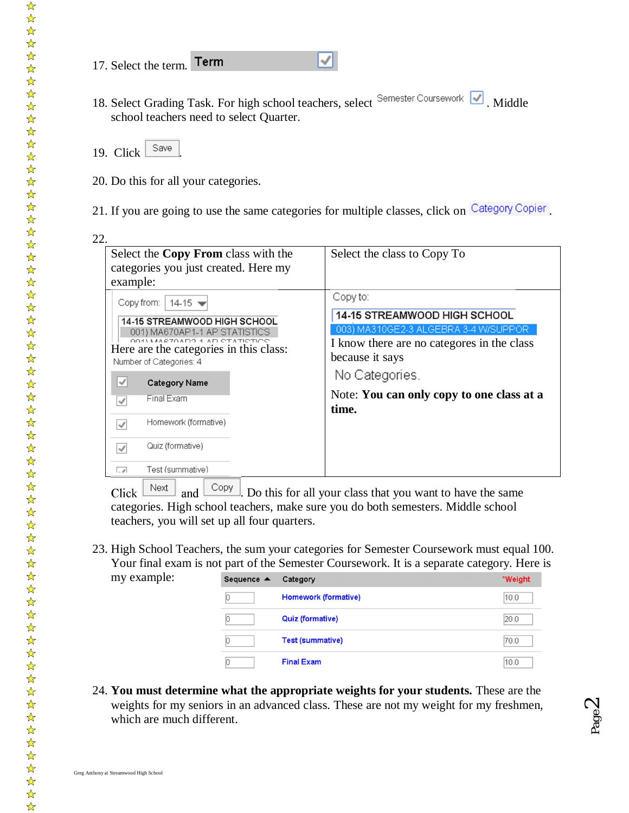- 17. Select the term. Term
- 18. Select Grading Task. For high school teachers, select Semester Coursework Middle school teachers need to select Quarter.

√



- 20. Do this for all your categories.
- 21. If you are going to use the same categories for multiple classes, click on Category Copier

| Select the Copy From class with the<br>categories you just created. Here my<br>example:                                                                                                                                                                                                                                                                                                                   | Select the class to Copy To                                                                                                                                                                                                      |
|-----------------------------------------------------------------------------------------------------------------------------------------------------------------------------------------------------------------------------------------------------------------------------------------------------------------------------------------------------------------------------------------------------------|----------------------------------------------------------------------------------------------------------------------------------------------------------------------------------------------------------------------------------|
| Copy from:<br>$14-15 =$<br><b>14-15 STREAMWOOD HIGH SCHOOL</b><br>001) MA670AP1-1 AP STATISTICS<br>CO1) MARCZOADO 1. AD CTATICTICO<br>Here are the categories in this class:<br>Number of Categories: 4<br>$\checkmark$<br><b>Category Name</b><br>Final Exam<br>$\checkmark$<br>Homework (formative)<br>$\checkmark$<br>Quiz (formative)<br>$\checkmark$<br>Test (summative)<br>$\overline{\phantom{a}}$ | Copy to:<br><b>14-15 STREAMWOOD HIGH SCHOOL</b><br>003) MA310GE2-3 ALGEBRA 3-4 W/SUPPOR<br>I know there are no categores in the class<br>because it says<br>No Categories.<br>Note: You can only copy to one class at a<br>time. |

Click  $\lfloor \frac{\text{Next}}{\text{Next}} \rfloor$  and  $\lfloor \frac{\text{Copy}}{\text{Copy}} \rfloor$ . Do this for all your class that you want to have the same categories. High school teachers, make sure you do both semesters. Middle school teachers, you will set up all four quarters.

23. High School Teachers, the sum your categories for Semester Coursework must equal 100. Your final exam is not part of the Semester Coursework. It is a separate category. Here is my example:

| Sequence $\triangle$ | Category                | *Weight |
|----------------------|-------------------------|---------|
|                      | Homework (formative)    | 10.0    |
|                      | Quiz (formative)        | 20.0    |
|                      | <b>Test (summative)</b> | 70.0    |
|                      | <b>Final Exam</b>       | 10.0    |

24. **You must determine what the appropriate weights for your students.** These are the weights for my seniors in an advanced class. These are not my weight for my freshmen, which are much different.

 $\frac{1}{\sqrt{2}}$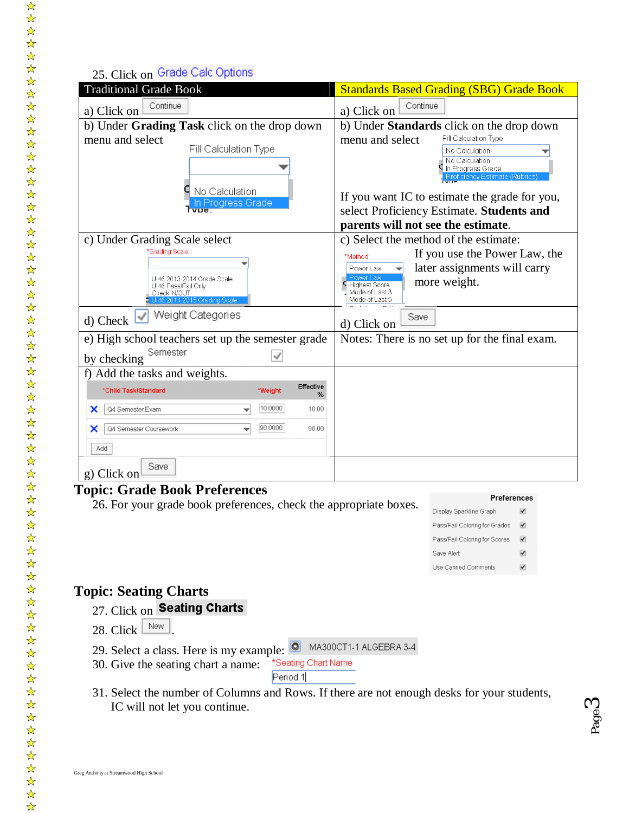## 25. Click on Grade Calc Options

| <b>Traditional Grade Book</b>                                                                     | <b>Standards Based Grading (SBG) Grade Book</b>                                        |
|---------------------------------------------------------------------------------------------------|----------------------------------------------------------------------------------------|
| Continue<br>a) Click on                                                                           | Continue<br>a) Click on                                                                |
| b) Under Grading Task click on the drop down                                                      | b) Under Standards click on the drop down                                              |
| menu and select                                                                                   | Fill Calculation Type<br>menu and select                                               |
| Fill Calculation Type                                                                             | No Calculation<br>No Calculation<br>In Progress Grade<br>Proficiency Estimate (Rubrics |
| No Calculation<br>In Progress Grade                                                               | If you want IC to estimate the grade for you,                                          |
|                                                                                                   | select Proficiency Estimate. Students and                                              |
|                                                                                                   | parents will not see the estimate.                                                     |
| c) Under Grading Scale select                                                                     | c) Select the method of the estimate:                                                  |
| *Grading Scale:                                                                                   | If you use the Power Law, the<br>*Method:                                              |
|                                                                                                   | later assignments will carry<br>Power Law                                              |
| U-46 2013-2014 Grade Scale<br>U-46 Pass/Fail Only<br>Check IN/OUT<br>U-46 2014-2015 Grading Scale | Power Law<br>more weight.<br><b>Highest Score</b><br>Mode of Last 3<br>Mode of Last 5  |
| Weight Categories<br>d) Check                                                                     | Save<br>d) Click on                                                                    |
| e) High school teachers set up the semester grade                                                 | Notes: There is no set up for the final exam.                                          |
| Semester<br>by checking                                                                           |                                                                                        |
| f) Add the tasks and weights.                                                                     |                                                                                        |
| <b>Effective</b><br>*Child Task/Standard<br>*Weight<br>℅                                          |                                                                                        |
| 10.0000<br>Q4 Semester Exam<br>10.00<br>×                                                         |                                                                                        |
| 90.0000<br>Q4 Semester Coursework<br>90.00<br>x                                                   |                                                                                        |
| Add                                                                                               |                                                                                        |
| Save<br>g) Click on                                                                               |                                                                                        |

## **Topic: Grade Book Preferences**

26. For your grade book preferences, check the appropriate boxes.

#### **Preferences**

Page ო

| Display Sparkline Graph       |   |
|-------------------------------|---|
| Pass/Fail Coloring for Grades | ✔ |
| Pass/Fail Coloring for Scores | ✔ |
| Save Alert                    |   |
| <b>Use Canned Comments</b>    |   |

## **Topic: Seating Charts**

- 27. Click on Seating Charts
- 28. Click  $\boxed{\mathbb{N}$ ew
- 29. Select a class. Here is my example:  $\bullet$  MA300CT1-1 ALGEBRA 3-4<br>30. Give the seating chart a name: \*Seating Chart Name
- 30. Give the seating chart a name:

Period 1

31. Select the number of Columns and Rows. If there are not enough desks for your students, IC will not let you continue.

☆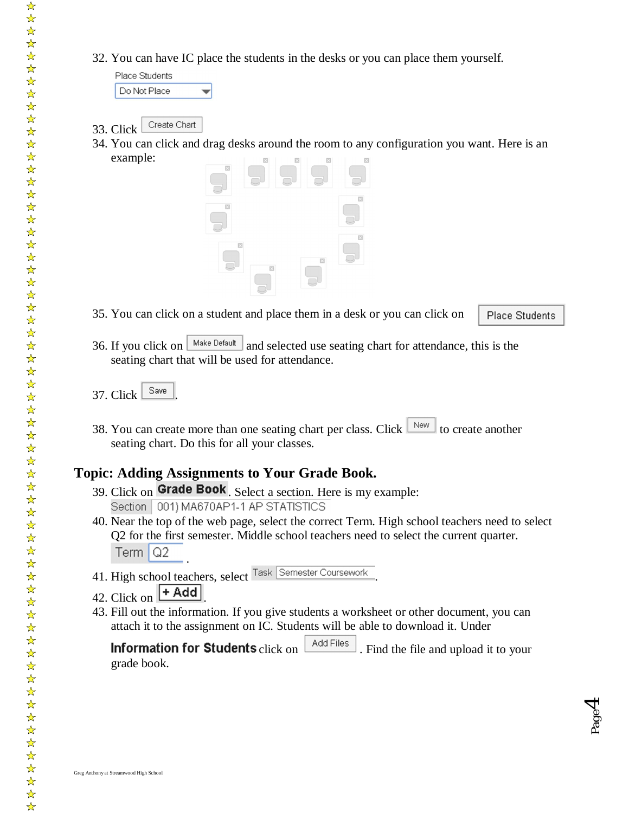32. You can have IC place the students in the desks or you can place them yourself.

Place Students Do Not Place

- Create Chart 33. Click
- 34. You can click and drag desks around the room to any configuration you want. Here is an example:



35. You can click on a student and place them in a desk or you can click on

Place Students

Page  $\overline{\mathcal{A}}$ 

- 36. If you click on  $\sqrt{\frac{Make \text{Default}}{and}}$  and selected use seating chart for attendance, this is the seating chart that will be used for attendance.
- 37. Click  $\frac{\text{Save}}{\text{}}$
- 38. You can create more than one seating chart per class. Click  $\Box$  to create another seating chart. Do this for all your classes.

## **Topic: Adding Assignments to Your Grade Book.**

- 39. Click on  $\overline{\text{Grade Book}}$ . Select a section. Here is my example:<br>Section  $\overline{\begin{array}{c} 001 \end{array}}$  MA670AP1-1 AP STATISTICS
- 40. Near the top of the web page, select the correct Term. High school teachers need to select Q2 for the first semester. Middle school teachers need to select the current quarter.  $Term | Q2$ .
- 41. High school teachers, select <sup>rask</sup> Semester Coursework.
- 42. Click on  $\boxed{+ \text{Add}}$
- 43. Fill out the information. If you give students a worksheet or other document, you can attach it to the assignment on IC. Students will be able to download it. Under

**Information for Students** click on  $\left[\right]$  Add Files . Find the file and upload it to your grade book.

☆